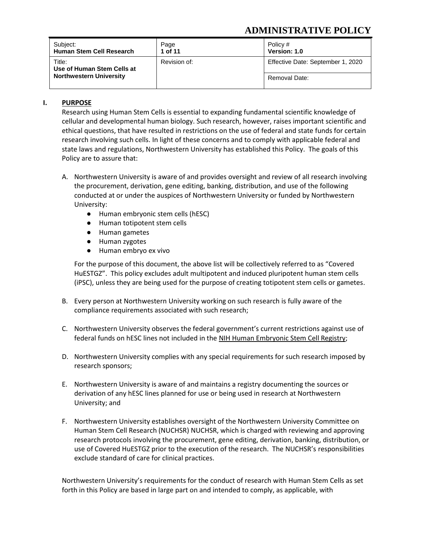# **ADMINISTRATIVE POLICY**

| Subject:<br>Human Stem Cell Research | Page<br>1 of 11 | Policy #<br>Version: 1.0          |
|--------------------------------------|-----------------|-----------------------------------|
| Title:<br>Use of Human Stem Cells at | Revision of:    | Effective Date: September 1, 2020 |
| <b>Northwestern University</b>       |                 | Removal Date:                     |

## **I. PURPOSE**

Research using Human Stem Cells is essential to expanding fundamental scientific knowledge of cellular and developmental human biology. Such research, however, raises important scientific and ethical questions, that have resulted in restrictions on the use of federal and state funds for certain research involving such cells. In light of these concerns and to comply with applicable federal and state laws and regulations, Northwestern University has established this Policy. The goals of this Policy are to assure that:

- A. Northwestern University is aware of and provides oversight and review of all research involving the procurement, derivation, gene editing, banking, distribution, and use of the following conducted at or under the auspices of Northwestern University or funded by Northwestern University:
	- Human embryonic stem cells (hESC)
	- Human totipotent stem cells
	- Human gametes
	- Human zygotes
	- Human embryo ex vivo

For the purpose of this document, the above list will be collectively referred to as "Covered HuESTGZ". This policy excludes adult multipotent and induced pluripotent human stem cells (iPSC), unless they are being used for the purpose of creating totipotent stem cells or gametes.

- B. Every person at Northwestern University working on such research is fully aware of the compliance requirements associated with such research;
- C. Northwestern University observes the federal government's current restrictions against use of federal funds on hESC lines not included in the [NIH Human Embryonic Stem Cell Registry;](https://grants.nih.gov/stem_cells/registry/current.htm)
- D. Northwestern University complies with any special requirements for such research imposed by research sponsors;
- E. Northwestern University is aware of and maintains a registry documenting the sources or derivation of any hESC lines planned for use or being used in research at Northwestern University; and
- F. Northwestern University establishes oversight of the Northwestern University Committee on Human Stem Cell Research (NUCHSR) NUCHSR, which is charged with reviewing and approving research protocols involving the procurement, gene editing, derivation, banking, distribution, or use of Covered HuESTGZ prior to the execution of the research. The NUCHSR's responsibilities exclude standard of care for clinical practices.

Northwestern University's requirements for the conduct of research with Human Stem Cells as set forth in this Policy are based in large part on and intended to comply, as applicable, with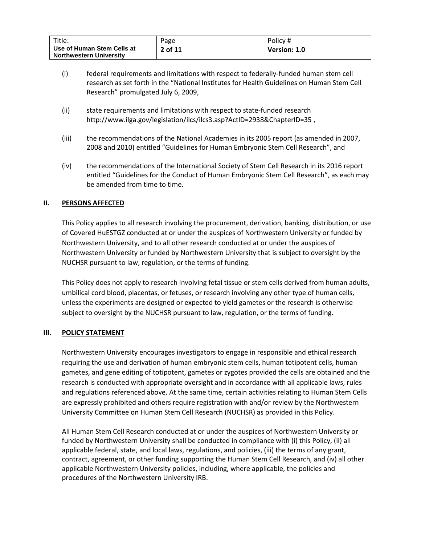| Title:                                                       | Page    | Policy #     |
|--------------------------------------------------------------|---------|--------------|
| Use of Human Stem Cells at<br><b>Northwestern University</b> | 2 of 11 | Version: 1.0 |

- (i) federal requirements and limitations with respect to federally-funded human stem cell research as set forth in the "National Institutes for Health Guidelines on Human Stem Cell Research" promulgated July 6, 2009,
- (ii) state requirements and limitations with respect to state-funded research <http://www.ilga.gov/legislation/ilcs/ilcs3.asp?ActID=2938&ChapterID=35>,
- (iii) the recommendations of the National Academies in its 2005 report (as amended in 2007, 2008 and 2010) entitled "Guidelines for Human Embryonic Stem Cell Research", and
- (iv) the recommendations of the International Society of Stem Cell Research in its 2016 report entitled "[Guidelines for the Conduct of Human Embryonic Stem Cell Research](http://www.isscr.org/docs/default-source/all-isscr-guidelines/guidelines-2016/isscr-guidelines-for-stem-cell-research-and-clinical-translationd67119731dff6ddbb37cff0000940c19.pdf?sfvrsn=4)", as each may be amended from time to time.

#### **II. PERSONS AFFECTED**

This Policy applies to all research involving the procurement, derivation, banking, distribution, or use of Covered HuESTGZ conducted at or under the auspices of Northwestern University or funded by Northwestern University, and to all other research conducted at or under the auspices of Northwestern University or funded by Northwestern University that is subject to oversight by the NUCHSR pursuant to law, regulation, or the terms of funding.

This Policy does not apply to research involving fetal tissue or stem cells derived from human adults, umbilical cord blood, placentas, or fetuses, or research involving any other type of human cells, unless the experiments are designed or expected to yield gametes or the research is otherwise subject to oversight by the NUCHSR pursuant to law, regulation, or the terms of funding.

#### **III. POLICY STATEMENT**

Northwestern University encourages investigators to engage in responsible and ethical research requiring the use and derivation of human embryonic stem cells, human totipotent cells, human gametes, and gene editing of totipotent, gametes or zygotes provided the cells are obtained and the research is conducted with appropriate oversight and in accordance with all applicable laws, rules and regulations referenced above. At the same time, certain activities relating to Human Stem Cells are expressly prohibited and others require registration with and/or review by the Northwestern University Committee on Human Stem Cell Research (NUCHSR) as provided in this Policy.

All Human Stem Cell Research conducted at or under the auspices of Northwestern University or funded by Northwestern University shall be conducted in compliance with (i) this Policy, (ii) all applicable federal, state, and local laws, regulations, and policies, (iii) the terms of any grant, contract, agreement, or other funding supporting the Human Stem Cell Research, and (iv) all other applicable Northwestern University policies, including, where applicable, the policies and procedures of the Northwestern University IRB.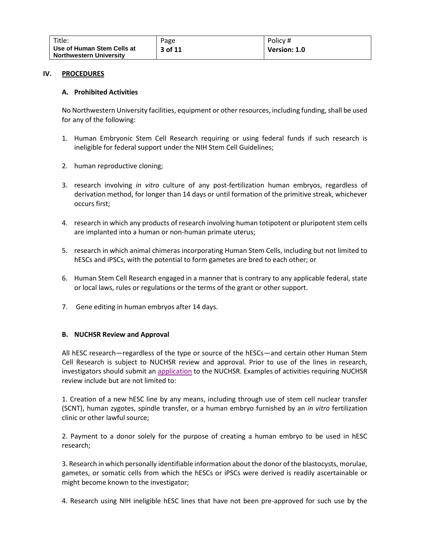| Title:                                                       | Page    | Policy #     |
|--------------------------------------------------------------|---------|--------------|
| Use of Human Stem Cells at<br><b>Northwestern University</b> | 3 of 11 | Version: 1.0 |

#### **IV. PROCEDURES**

#### **A. Prohibited Activities**

No Northwestern University facilities, equipment or other resources, including funding, shall be used for any of the following:

- 1. Human Embryonic Stem Cell Research requiring or using federal funds if such research is ineligible for federal support under the NIH Stem Cell Guidelines;
- 2. human reproductive cloning;
- 3. research involving *in vitro* culture of any post-fertilization human embryos, regardless of derivation method, for longer than 14 days or until formation of the primitive streak, whichever occurs first;
- 4. research in which any products of research involving human totipotent or pluripotent stem cells are implanted into a human or non-human primate uterus;
- 5. research in which animal chimeras incorporating Human Stem Cells, including but not limited to hESCs and iPSCs, with the potential to form gametes are bred to each other; or
- 6. Human Stem Cell Research engaged in a manner that is contrary to any applicable federal, state or local laws, rules or regulations or the terms of the grant or other support.
- 7. Gene editing in human embryos after 14 days.

#### **B. NUCHSR Review and Approval**

All hESC research—regardless of the type or source of the hESCs—and certain other Human Stem Cell Research is subject to NUCHSR review and approval. Prior to use of the lines in research, investigators should submit a[n application](https://www.feinberg.northwestern.edu/compliance/human-stem-cell/nuchsr-application-for-review-and-approval_v3.pdf) to the NUCHSR. Examples of activities requiring NUCHSR review include but are not limited to:

1. Creation of a new hESC line by any means, including through use of stem cell nuclear transfer (SCNT), human zygotes, spindle transfer, or a human embryo furnished by an *in vitro* fertilization clinic or other lawful source;

2. Payment to a donor solely for the purpose of creating a human embryo to be used in hESC research;

3. Research in which personally identifiable information about the donor of the blastocysts, morulae, gametes, or somatic cells from which the hESCs or iPSCs were derived is readily ascertainable or might become known to the investigator;

4. Research using NIH ineligible hESC lines that have not been pre-approved for such use by the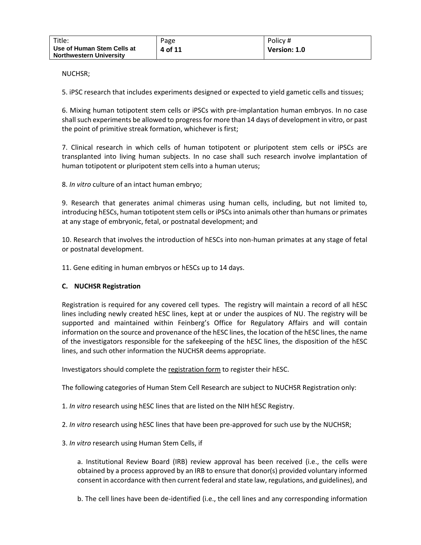| Title:                                                       | Page    | Policy #     |
|--------------------------------------------------------------|---------|--------------|
| Use of Human Stem Cells at<br><b>Northwestern University</b> | 4 of 11 | Version: 1.0 |

NUCHSR;

5. iPSC research that includes experiments designed or expected to yield gametic cells and tissues;

6. Mixing human totipotent stem cells or iPSCs with pre-implantation human embryos. In no case shall such experiments be allowed to progress for more than 14 days of development in vitro, or past the point of primitive streak formation, whichever is first;

7. Clinical research in which cells of human totipotent or pluripotent stem cells or iPSCs are transplanted into living human subjects. In no case shall such research involve implantation of human totipotent or pluripotent stem cells into a human uterus;

8. *In vitro* culture of an intact human embryo;

9. Research that generates animal chimeras using human cells, including, but not limited to, introducing hESCs, human totipotent stem cells or iPSCs into animals other than humans or primates at any stage of embryonic, fetal, or postnatal development; and

10. Research that involves the introduction of hESCs into non-human primates at any stage of fetal or postnatal development.

11. Gene editing in human embryos or hESCs up to 14 days.

#### **C. NUCHSR Registration**

Registration is required for any covered cell types. The registry will maintain a record of all hESC lines including newly created hESC lines, kept at or under the auspices of NU. The registry will be supported and maintained within Feinberg's Office for Regulatory Affairs and will contain information on the source and provenance of the hESC lines, the location of the hESC lines, the name of the investigators responsible for the safekeeping of the hESC lines, the disposition of the hESC lines, and such other information the NUCHSR deems appropriate.

Investigators should complete th[e registration form](https://app.smartsheet.com/b/form/d9b744d841f6439d9855064c76313569) to register their hESC.

The following categories of Human Stem Cell Research are subject to NUCHSR Registration only:

1. *In vitro* research using hESC lines that are listed on the NIH hESC Registry.

2. *In vitro* research using hESC lines that have been pre-approved for such use by the NUCHSR;

3. *In vitro* research using Human Stem Cells, if

a. Institutional Review Board (IRB) review approval has been received (i.e., the cells were obtained by a process approved by an IRB to ensure that donor(s) provided voluntary informed consent in accordance with then current federal and state law, regulations, and guidelines), and

b. The cell lines have been de-identified (i.e., the cell lines and any corresponding information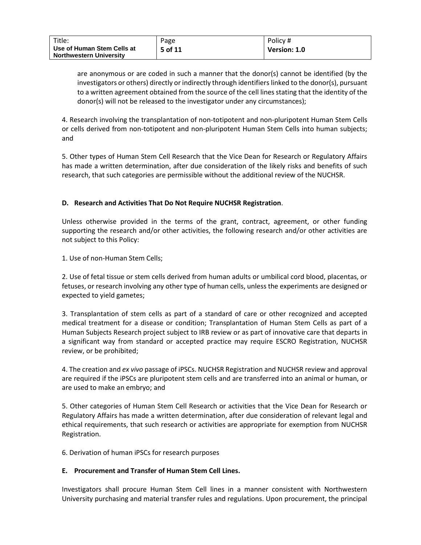| Title:                                                       | Page    | Policy #     |
|--------------------------------------------------------------|---------|--------------|
| Use of Human Stem Cells at<br><b>Northwestern University</b> | 5 of 11 | Version: 1.0 |

are anonymous or are coded in such a manner that the donor(s) cannot be identified (by the investigators or others) directly or indirectly through identifiers linked to the donor(s), pursuant to a written agreement obtained from the source of the cell lines stating that the identity of the donor(s) will not be released to the investigator under any circumstances);

4. Research involving the transplantation of non-totipotent and non-pluripotent Human Stem Cells or cells derived from non-totipotent and non-pluripotent Human Stem Cells into human subjects; and

5. Other types of Human Stem Cell Research that the Vice Dean for Research or Regulatory Affairs has made a written determination, after due consideration of the likely risks and benefits of such research, that such categories are permissible without the additional review of the NUCHSR.

#### **D. Research and Activities That Do Not Require NUCHSR Registration**.

Unless otherwise provided in the terms of the grant, contract, agreement, or other funding supporting the research and/or other activities, the following research and/or other activities are not subject to this Policy:

1. Use of non-Human Stem Cells;

2. Use of fetal tissue or stem cells derived from human adults or umbilical cord blood, placentas, or fetuses, or research involving any other type of human cells, unless the experiments are designed or expected to yield gametes;

3. Transplantation of stem cells as part of a standard of care or other recognized and accepted medical treatment for a disease or condition; Transplantation of Human Stem Cells as part of a Human Subjects Research project subject to IRB review or as part of innovative care that departs in a significant way from standard or accepted practice may require ESCRO Registration, NUCHSR review, or be prohibited;

4. The creation and *ex vivo* passage of iPSCs. NUCHSR Registration and NUCHSR review and approval are required if the iPSCs are pluripotent stem cells and are transferred into an animal or human, or are used to make an embryo; and

5. Other categories of Human Stem Cell Research or activities that the Vice Dean for Research or Regulatory Affairs has made a written determination, after due consideration of relevant legal and ethical requirements, that such research or activities are appropriate for exemption from NUCHSR Registration.

6. Derivation of human iPSCs for research purposes

#### **E. Procurement and Transfer of Human Stem Cell Lines.**

Investigators shall procure Human Stem Cell lines in a manner consistent with Northwestern University purchasing and material transfer rules and regulations. Upon procurement, the principal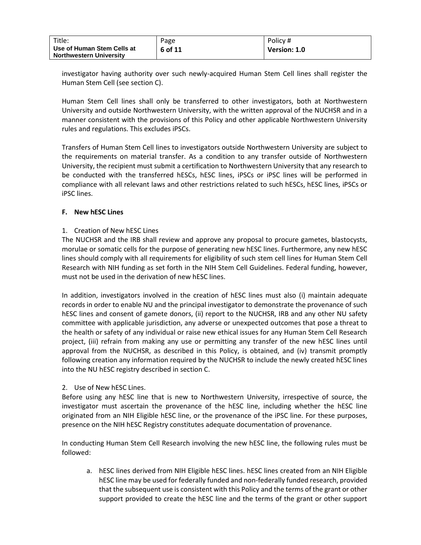| $\tau$ itle:                                                 | Page    | Policy#      |
|--------------------------------------------------------------|---------|--------------|
| Use of Human Stem Cells at<br><b>Northwestern University</b> | 6 of 11 | Version: 1.0 |

investigator having authority over such newly-acquired Human Stem Cell lines shall register the Human Stem Cell (see section C).

Human Stem Cell lines shall only be transferred to other investigators, both at Northwestern University and outside Northwestern University, with the written approval of the NUCHSR and in a manner consistent with the provisions of this Policy and other applicable Northwestern University rules and regulations. This excludes iPSCs.

Transfers of Human Stem Cell lines to investigators outside Northwestern University are subject to the requirements on material transfer. As a condition to any transfer outside of Northwestern University, the recipient must submit a certification to Northwestern University that any research to be conducted with the transferred hESCs, hESC lines, iPSCs or iPSC lines will be performed in compliance with all relevant laws and other restrictions related to such hESCs, hESC lines, iPSCs or iPSC lines.

#### **F. New hESC Lines**

#### 1. Creation of New hESC Lines

The NUCHSR and the IRB shall review and approve any proposal to procure gametes, blastocysts, morulae or somatic cells for the purpose of generating new hESC lines. Furthermore, any new hESC lines should comply with all requirements for eligibility of such stem cell lines for Human Stem Cell Research with NIH funding as set forth in the NIH Stem Cell Guidelines. Federal funding, however, must not be used in the derivation of new hESC lines.

In addition, investigators involved in the creation of hESC lines must also (i) maintain adequate records in order to enable NU and the principal investigator to demonstrate the provenance of such hESC lines and consent of gamete donors, (ii) report to the NUCHSR, IRB and any other NU safety committee with applicable jurisdiction, any adverse or unexpected outcomes that pose a threat to the health or safety of any individual or raise new ethical issues for any Human Stem Cell Research project, (iii) refrain from making any use or permitting any transfer of the new hESC lines until approval from the NUCHSR, as described in this Policy, is obtained, and (iv) transmit promptly following creation any information required by the NUCHSR to include the newly created hESC lines into the NU hESC registry described in section C.

#### 2. Use of New hESC Lines.

Before using any hESC line that is new to Northwestern University, irrespective of source, the investigator must ascertain the provenance of the hESC line, including whether the hESC line originated from an NIH Eligible hESC line, or the provenance of the iPSC line. For these purposes, presence on the NIH hESC Registry constitutes adequate documentation of provenance.

In conducting Human Stem Cell Research involving the new hESC line, the following rules must be followed:

a. hESC lines derived from NIH Eligible hESC lines. hESC lines created from an NIH Eligible hESC line may be used for federally funded and non-federally funded research, provided that the subsequent use is consistent with this Policy and the terms of the grant or other support provided to create the hESC line and the terms of the grant or other support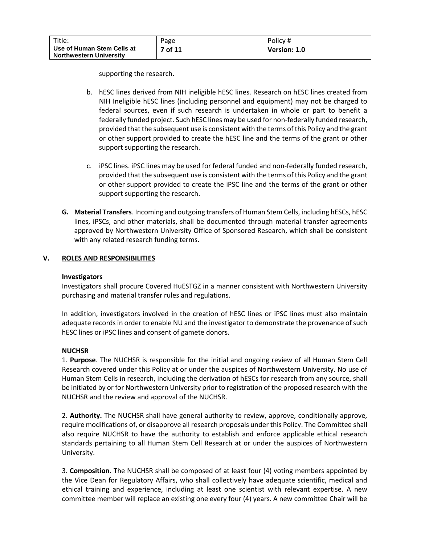supporting the research.

- b. hESC lines derived from NIH ineligible hESC lines. Research on hESC lines created from NIH Ineligible hESC lines (including personnel and equipment) may not be charged to federal sources, even if such research is undertaken in whole or part to benefit a federally funded project. Such hESC lines may be used for non-federally funded research, provided that the subsequent use is consistent with the terms of this Policy and the grant or other support provided to create the hESC line and the terms of the grant or other support supporting the research.
- c. iPSC lines. iPSC lines may be used for federal funded and non-federally funded research, provided that the subsequent use is consistent with the terms of this Policy and the grant or other support provided to create the iPSC line and the terms of the grant or other support supporting the research.
- **G. Material Transfers**. Incoming and outgoing transfers of Human Stem Cells, including hESCs, hESC lines, iPSCs, and other materials, shall be documented through material transfer agreements approved by Northwestern University Office of Sponsored Research, which shall be consistent with any related research funding terms.

### **V. ROLES AND RESPONSIBILITIES**

#### **Investigators**

Investigators shall procure Covered HuESTGZ in a manner consistent with Northwestern University purchasing and material transfer rules and regulations.

In addition, investigators involved in the creation of hESC lines or iPSC lines must also maintain adequate records in order to enable NU and the investigator to demonstrate the provenance of such hESC lines or iPSC lines and consent of gamete donors.

#### **NUCHSR**

1. **Purpose**. The NUCHSR is responsible for the initial and ongoing review of all Human Stem Cell Research covered under this Policy at or under the auspices of Northwestern University. No use of Human Stem Cells in research, including the derivation of hESCs for research from any source, shall be initiated by or for Northwestern University prior to registration of the proposed research with the NUCHSR and the review and approval of the NUCHSR.

2. **Authority.** The NUCHSR shall have general authority to review, approve, conditionally approve, require modifications of, or disapprove all research proposals under this Policy. The Committee shall also require NUCHSR to have the authority to establish and enforce applicable ethical research standards pertaining to all Human Stem Cell Research at or under the auspices of Northwestern University.

3. **Composition.** The NUCHSR shall be composed of at least four (4) voting members appointed by the Vice Dean for Regulatory Affairs, who shall collectively have adequate scientific, medical and ethical training and experience, including at least one scientist with relevant expertise. A new committee member will replace an existing one every four (4) years. A new committee Chair will be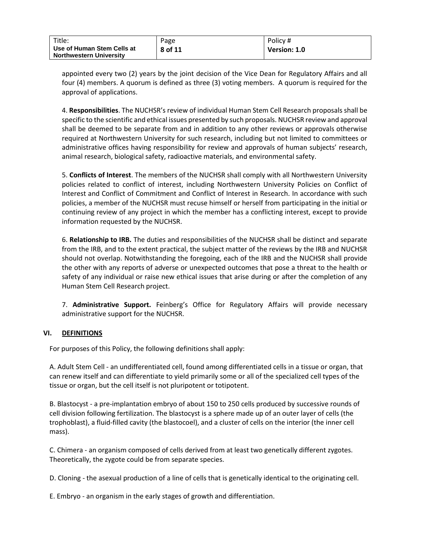| Title:                                                       | Page    | Policy #     |
|--------------------------------------------------------------|---------|--------------|
| Use of Human Stem Cells at<br><b>Northwestern University</b> | 8 of 11 | Version: 1.0 |

appointed every two (2) years by the joint decision of the Vice Dean for Regulatory Affairs and all four (4) members. A quorum is defined as three (3) voting members. A quorum is required for the approval of applications.

4. **Responsibilities**. The NUCHSR's review of individual Human Stem Cell Research proposals shall be specific to the scientific and ethical issues presented by such proposals. NUCHSR review and approval shall be deemed to be separate from and in addition to any other reviews or approvals otherwise required at Northwestern University for such research, including but not limited to committees or administrative offices having responsibility for review and approvals of human subjects' research, animal research, biological safety, radioactive materials, and environmental safety.

5. **Conflicts of Interest**. The members of the NUCHSR shall comply with all Northwestern University policies related to conflict of interest, including Northwestern University Policies on Conflict of Interest and Conflict of Commitment and Conflict of Interest in Research. In accordance with such policies, a member of the NUCHSR must recuse himself or herself from participating in the initial or continuing review of any project in which the member has a conflicting interest, except to provide information requested by the NUCHSR.

6. **Relationship to IRB.** The duties and responsibilities of the NUCHSR shall be distinct and separate from the IRB, and to the extent practical, the subject matter of the reviews by the IRB and NUCHSR should not overlap. Notwithstanding the foregoing, each of the IRB and the NUCHSR shall provide the other with any reports of adverse or unexpected outcomes that pose a threat to the health or safety of any individual or raise new ethical issues that arise during or after the completion of any Human Stem Cell Research project.

7. **Administrative Support.** Feinberg's Office for Regulatory Affairs will provide necessary administrative support for the NUCHSR.

#### **VI. DEFINITIONS**

For purposes of this Policy, the following definitions shall apply:

A. Adult Stem Cell - an undifferentiated cell, found among differentiated cells in a tissue or organ, that can renew itself and can differentiate to yield primarily some or all of the specialized cell types of the tissue or organ, but the cell itself is not pluripotent or totipotent.

B. Blastocyst - a pre-implantation embryo of about 150 to 250 cells produced by successive rounds of cell division following fertilization. The blastocyst is a sphere made up of an outer layer of cells (the trophoblast), a fluid-filled cavity (the blastocoel), and a cluster of cells on the interior (the inner cell mass).

C. Chimera - an organism composed of cells derived from at least two genetically different zygotes. Theoretically, the zygote could be from separate species.

D. Cloning - the asexual production of a line of cells that is genetically identical to the originating cell.

E. Embryo - an organism in the early stages of growth and differentiation.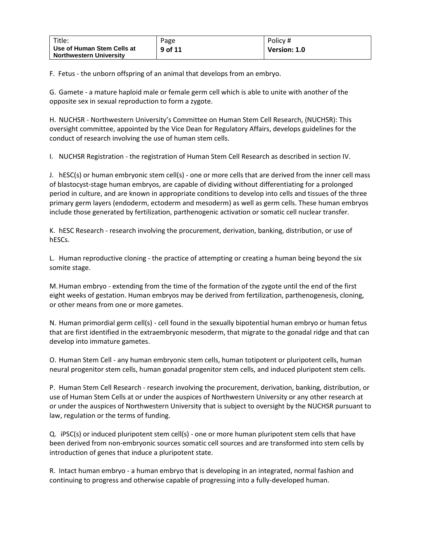| Title:                                                       | Page      | Policy #     |
|--------------------------------------------------------------|-----------|--------------|
| Use of Human Stem Cells at<br><b>Northwestern University</b> | $9$ of 11 | Version: 1.0 |

F. Fetus - the unborn offspring of an animal that develops from an embryo.

G. Gamete - a mature haploid male or female germ cell which is able to unite with another of the opposite sex in sexual reproduction to form a zygote.

H. NUCHSR - Northwestern University's Committee on Human Stem Cell Research, (NUCHSR): This oversight committee, appointed by the Vice Dean for Regulatory Affairs, develops guidelines for the conduct of research involving the use of human stem cells.

I. NUCHSR Registration - the registration of Human Stem Cell Research as described in section IV.

J. hESC(s) or human embryonic stem cell(s) - one or more cells that are derived from the inner cell mass of blastocyst-stage human embryos, are capable of dividing without differentiating for a prolonged period in culture, and are known in appropriate conditions to develop into cells and tissues of the three primary germ layers (endoderm, ectoderm and mesoderm) as well as germ cells. These human embryos include those generated by fertilization, parthenogenic activation or somatic cell nuclear transfer.

K. hESC Research - research involving the procurement, derivation, banking, distribution, or use of hESCs.

L. Human reproductive cloning - the practice of attempting or creating a human being beyond the six somite stage.

M.Human embryo - extending from the time of the formation of the zygote until the end of the first eight weeks of gestation. Human embryos may be derived from fertilization, parthenogenesis, cloning, or other means from one or more gametes.

N. Human primordial germ cell(s) - cell found in the sexually bipotential human embryo or human fetus that are first identified in the extraembryonic mesoderm, that migrate to the gonadal ridge and that can develop into immature gametes.

O. Human Stem Cell - any human embryonic stem cells, human totipotent or pluripotent cells, human neural progenitor stem cells, human gonadal progenitor stem cells, and induced pluripotent stem cells.

P. Human Stem Cell Research - research involving the procurement, derivation, banking, distribution, or use of Human Stem Cells at or under the auspices of Northwestern University or any other research at or under the auspices of Northwestern University that is subject to oversight by the NUCHSR pursuant to law, regulation or the terms of funding.

Q. iPSC(s) or induced pluripotent stem cell(s) - one or more human pluripotent stem cells that have been derived from non-embryonic sources somatic cell sources and are transformed into stem cells by introduction of genes that induce a pluripotent state.

R. Intact human embryo - a human embryo that is developing in an integrated, normal fashion and continuing to progress and otherwise capable of progressing into a fully-developed human.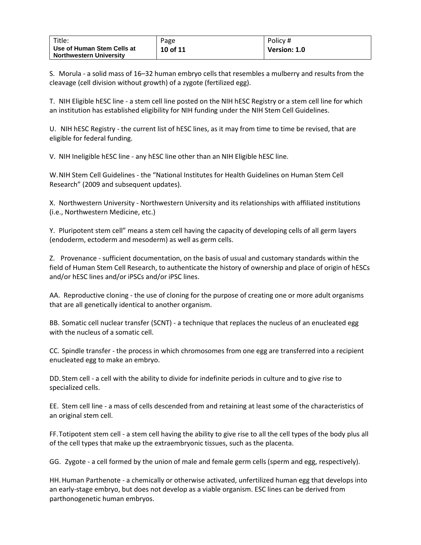| Title:                                                       | Page     | Policy #     |
|--------------------------------------------------------------|----------|--------------|
| Use of Human Stem Cells at<br><b>Northwestern University</b> | 10 of 11 | Version: 1.0 |

S. Morula - a solid mass of 16–32 human embryo cells that resembles a mulberry and results from the cleavage (cell division without growth) of a zygote (fertilized egg).

T. NIH Eligible hESC line - a stem cell line posted on the NIH hESC Registry or a stem cell line for which an institution has established eligibility for NIH funding under the NIH Stem Cell Guidelines.

U. NIH hESC Registry - the current list of hESC lines, as it may from time to time be revised, that are eligible for federal funding.

V. NIH Ineligible hESC line - any hESC line other than an NIH Eligible hESC line.

W.NIH Stem Cell Guidelines - the "National Institutes for Health Guidelines on Human Stem Cell Research" (2009 and subsequent updates).

X. Northwestern University - Northwestern University and its relationships with affiliated institutions (i.e., Northwestern Medicine, etc.)

Y. Pluripotent stem cell" means a stem cell having the capacity of developing cells of all germ layers (endoderm, ectoderm and mesoderm) as well as germ cells.

Z. Provenance - sufficient documentation, on the basis of usual and customary standards within the field of Human Stem Cell Research, to authenticate the history of ownership and place of origin of hESCs and/or hESC lines and/or iPSCs and/or iPSC lines.

AA. Reproductive cloning - the use of cloning for the purpose of creating one or more adult organisms that are all genetically identical to another organism.

BB. Somatic cell nuclear transfer (SCNT) - a technique that replaces the nucleus of an enucleated egg with the nucleus of a somatic cell.

CC. Spindle transfer - the process in which chromosomes from one egg are transferred into a recipient enucleated egg to make an embryo.

DD. Stem cell - a cell with the ability to divide for indefinite periods in culture and to give rise to specialized cells.

EE. Stem cell line - a mass of cells descended from and retaining at least some of the characteristics of an original stem cell.

FF.Totipotent stem cell - a stem cell having the ability to give rise to all the cell types of the body plus all of the cell types that make up the extraembryonic tissues, such as the placenta.

GG. Zygote - a cell formed by the union of male and female germ cells (sperm and egg, respectively).

HH. Human Parthenote - a chemically or otherwise activated, unfertilized human egg that develops into an early-stage embryo, but does not develop as a viable organism. ESC lines can be derived from parthonogenetic human embryos.